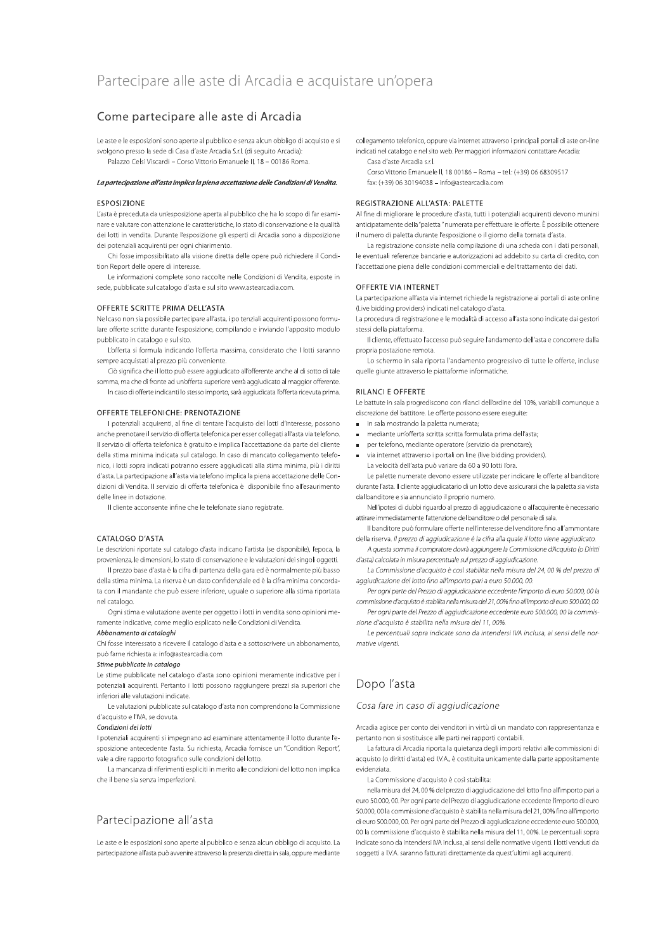# Partecipare alle aste di Arcadia e acquistare un'opera

# Come partecipare alle aste di Arcadia

Le aste e le esposizioni sono aperte al pubblico e senza alcun obbligo di acquisto e si svolgono presso la sede di Casa d'aste Arcadia S.r.l. (di seguito Arcadia) Palazzo Celsi Viscardi - Corso Vittorio Emanuele II, 18 - 00186 Roma.

#### La partecipazione all'asta implica la piena accettazione delle Condizioni di Vendita.

## **ESPOSIZIONE**

L'asta è preceduta da un'esposizione aperta al pubblico che ha lo scopo di far esaminare e valutare con attenzione le caratteristiche, lo stato di conservazione e la qualità dei lotti in vendita. Durante l'esposizione gli esperti di Arcadia sono a disposizione dei notenziali acquirenti ner ogni chiarimento

Chi fosse impossibilitato alla visione diretta delle opere può richiedere il Condition Report delle opere di interesse

Le informazioni complete sono raccolte nelle Condizioni di Vendita, esposte in sede, pubblicate sul catalogo d'asta e sul sito www.astearcadia.com.

#### OFFERTE SCRITTE PRIMA DELL'ASTA

Nel caso non sia possibile partecipare all'asta, i po tenziali acquirenti possono formulare offerte scritte durante l'esposizione, compilando e inviando l'apposito modulo pubblicato in catalogo e sul sito.

L'offerta si formula indicando l'offerta massima, considerato che I lotti saranno sempre acquistati al prezzo più conveniente

Ciò significa che il lotto può essere aggiudicato all'offerente anche al di sotto di tale somma, ma che di fronte ad un'offerta superiore verrà aggiudicato al maggior offerente.

In caso di offerte indicanti lo stesso importo, sarà aggiudicata l'offerta ricevuta prima.

# OFFERTE TELEFONICHE: PRENOTAZIONE

I potenziali acquirenti, al fine di tentare l'acquisto dei lotti d'interesse, possono anche prenotare il servizio di offerta telefonica per esser collegati all'asta via telefono. Il servizio di offerta telefonica è gratuito e implica l'accettazione da parte del cliente della stima minima indicata sul catalogo. In caso di mancato collegamento telefonico, i lotti sopra indicati potranno essere aggiudicati alla stima minima, più i diritti d'asta. La partecipazione all'asta via telefono implica la piena accettazione delle Condizioni di Vendita. Il servizio di offerta telefonica è disponibile fino all'esaurimento delle linee in dotazione.

Il cliente acconsente infine che le telefonate siano registrate.

#### CATALOGO D'ASTA

Le descrizioni riportate sul catalogo d'asta indicano l'artista (se disponibile), l'epoca, la provenienza, le dimensioni, lo stato di conservazione e le valutazioni dei singoli oggetti.

Il prezzo base d'asta è la cifra di partenza della gara ed è normalmente più basso della stima minima. La riserva è un dato confidenziale ed è la cifra minima concordata con il mandante che può essere inferiore, uguale o superiore alla stima riportata nel catalogo.

Ogni stima e valutazione avente per oggetto i lotti in vendita sono opinioni meramente indicative, come meglio esplicato nelle Condizioni di Vendita.

# Abbonamento ai cataloghi

Chi fosse interessato a ricevere il catalogo d'asta e a sottoscrivere un abbonamento, può farne richiesta a: info@astearcadia.com

#### Stime pubblicate in catalogo

Le stime pubblicate nel catalogo d'asta sono opinioni meramente indicative per i potenziali acquirenti. Pertanto i lotti possono raggiungere prezzi sia superiori che inferiori alle valutazioni indicate

Le valutazioni pubblicate sul catalogo d'asta non comprendono la Commissione d'acquisto e l'IVA, se dovuta.

#### Condizioni dei lotti

I potenziali acquirenti si impegnano ad esaminare attentamente il lotto durante l'esposizione antecedente l'asta. Su richiesta, Arcadia fornisce un "Condition Report", vale a dire rapporto fotografico sulle condizioni del lotto.

La mancanza di riferimenti espliciti in merito alle condizioni del lotto non implica che il bene sia senza imperfezioni

# Partecipazione all'asta

Le aste e le esposizioni sono aperte al pubblico e senza alcun obbligo di acquisto. La partecipazione all'asta può avvenire attraverso la presenza diretta in sala, oppure mediante collegamento telefonico, oppure via internet attraverso i principali portali di aste on-line indicati nel catalogo e nel sito web. Per maggiori informazioni contattare Arcadia: Casa d'aste Arcadia s.r.l.

Corso Vittorio Emanuele II, 18 00186 - Roma - tel.: (+39) 06 68309517 fax: (+39) 06 30194038 - info@astearcadia.com

### REGISTRAZIONE ALL'ASTA: PALETTE

Al fine di migliorare le procedure d'asta, tutti i potenziali acquirenti devono munirsi anticipatamente della "paletta " numerata per effettuare le offerte. È possibile ottenere il numero di paletta durante l'esposizione o il giorno della tornata d'asta.

La registrazione consiste nella compilazione di una scheda con i dati personali le eventuali referenze bancarie e autorizzazioni ad addebito su carta di credito, con l'accettazione piena delle condizioni commerciali e del trattamento dei dati.

#### OFFERTE VIA INTERNET

La partecipazione all'asta via internet richiede la registrazione ai portali di aste online (Live bidding providers) indicati nel catalogo d'asta.

La procedura di registrazione e le modalità di accesso all'asta sono indicate dai gestori stessi della piattaforma

Il cliente, effettuato l'accesso può seguire l'andamento dell'asta e concorrere dalla propria postazione remota.

Lo schermo in sala riporta l'andamento progressivo di tutte le offerte, incluse quelle giunte attraverso le piattaforme informatiche.

## **RILANCI E OFFERTE**

Le battute in sala progrediscono con rilanci dell'ordine del 10%, variabili comunque a discrezione del battitore. Le offerte possono essere eseguite:

- in sala mostrando la paletta numerata;
- mediante un'offerta scritta scritta formulata prima dell'asta:
- per telefono, mediante operatore (servizio da prenotare);
- via internet attraverso i portali on line (live bidding providers). La velocità dell'asta può variare da 60 a 90 lotti l'ora.

Le palette numerate devono essere utilizzate per indicare le offerte al banditore durante l'asta. Il cliente aggiudicatario di un lotto deve assicurarsi che la paletta sia vista dal banditore e sia annunciato il proprio numero.

Nell'ipotesi di dubbi riguardo al prezzo di aggiudicazione o all'acquirente è necessario attirare immediatamente l'attenzione del banditore o del personale di sala

Il banditore può formulare offerte nell'interesse del venditore fino all'ammontare della riserva. Il prezzo di aggiudicazione è la cifra alla quale il lotto viene aggiudicato.

A questa somma il compratore dovrà aggiungere la Commissione d'Acquisto (o Diritti d'asta) calcolata in misura percentuale sul prezzo di aggiudicazione.

La Commissione d'acquisto è così stabilita: nella misura del 24,00 % del prezzo di aggiudicazione del lotto fino all'importo pari a euro 50.000, 00.

Per ogni parte del Prezzo di aggiudicazione eccedente l'importo di euro 50.000, 00 la commissione d'acquisto è stabilita nella misura del 21,00% fino all'importo di euro 500.000,00.

Per ogni parte del Prezzo di aggiudicazione eccedente euro 500.000, 00 la commissione d'acquisto è stabilita nella misura del 11.00%.

Le percentuali sopra indicate sono da intendersi IVA inclusa, ai sensi delle normative vigenti.

# Dopo l'asta

#### Cosa fare in caso di aggiudicazione

Arcadia agisce per conto dei venditori in virtù di un mandato con rappresentanza e pertanto non si sostituisce alle parti nei rapporti contabili.

La fattura di Arcadia riporta la quietanza degli importi relativi alle commissioni di acquisto (o diritti d'asta) ed I.V.A., è costituita unicamente dalla parte appositamente evidenziata

La Commissione d'acquisto è così stabilita:

nella misura del 24,00 % del prezzo di aggiudicazione del lotto fino all'importo pari a euro 50.000, 00. Per ogni parte del Prezzo di aggiudicazione eccedente l'importo di euro 50.000, 00 la commissione d'acquisto è stabilita nella misura del 21, 00% fino all'importo di euro 500.000, 00. Per ogni parte del Prezzo di aggiudicazione eccedente euro 500.000, 00 la commissione d'acquisto è stabilita nella misura del 11,00%. Le percentuali sopra indicate sono da intendersi IVA inclusa, ai sensi delle normative vigenti. I lotti venduti da soggetti a I.V.A. saranno fatturati direttamente da quest'ultimi agli acquirenti.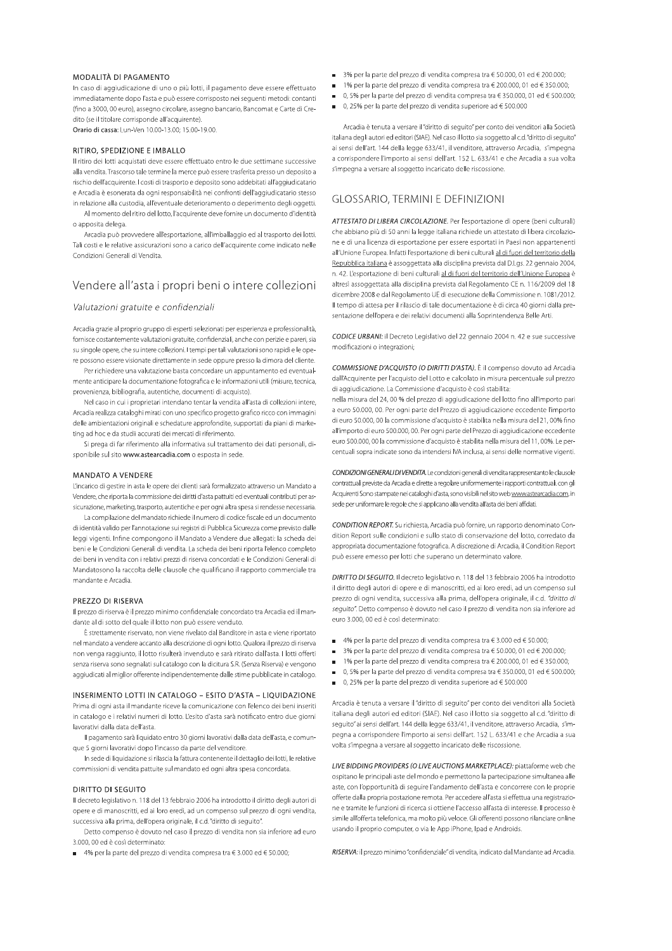#### MODALITÀ DI PAGAMENTO

In caso di aggiudicazione di uno o più lotti, il pagamento deve essere effettuato immediatamente dopo l'asta e può essere corrisposto nei seguenti metodi: contanti (fino a 3000, 00 euro), assegno circolare, assegno bancario, Bancomat e Carte di Credito (se il titolare corrisponde all'acquirente) Orario di cassa: Lun-Ven 10.00-13.00; 15.00-19.00.

#### RITIRO SPEDIZIONE E IMBALLO

Il ritiro dei lotti acquistati deve essere effettuato entro le due settimane successive alla vendita. Trascorso tale termine la merce può essere trasferita presso un deposito a rischio dell'acquirente. I costi di trasporto e deposito sono addebitati all'aggiudicatario e Arcadia è esonerata da ogni responsabilità nei confronti dell'aggiudicatario stesso in relazione alla custodia, all'eventuale deterioramento o deperimento degli oggetti.

Al momento del ritiro del lotto, l'acquirente deve fornire un documento d'identità o apposita delega

Arcadia può provvedere all'esportazione, all'imballaggio ed al trasporto dei lotti. Tali costi e le relative assicurazioni sono a carico dell'acquirente come indicato nelle Condizioni Generali di Vendita

# Vendere all'asta i propri beni o intere collezioni

### Valutazioni gratuite e confidenziali

Arcadia grazie al proprio gruppo di esperti selezionati per esperienza e professionalità, fornisce costantemente valutazioni gratuite, confidenziali, anche con perizie e pareri, sia su singole opere, che su intere collezioni. I tempi per tali valutazioni sono rapidi e le opere possono essere visionate direttamente in sede oppure presso la dimora del cliente.

Per richiedere una valutazione basta concordare un appuntamento ed eventualmente anticipare la documentazione fotografica e le informazioni utili (misure, tecnica, provenienza, bibliografia, autentiche, documenti di acquisto).

Nel caso in cui i proprietari intendano tentar la vendita all'asta di collezioni intere Arcadia realizza cataloghi mirati con uno specifico progetto grafico ricco con immagini delle ambientazioni originali e schedature approfondite, supportati da piani di marketing ad hoc e da studii accurati dei mercati di riferimento.

Si prega di far riferimento alla informativa sul trattamento dei dati personali, disponibile sul sito www.astearcadia.com o esposta in sede.

#### **MANDATO A VENDERE**

L'incarico di gestire in asta le opere dei clienti sarà formalizzato attraverso un Mandato a Vendere, che riporta la commissione dei diritti d'asta pattuiti ed eventuali contributi per assicurazione, marketing, trasporto, autentiche e per ogni altra spesa si rendesse necessaria.

La compilazione del mandato richiede il numero di codice fiscale ed un documento di identità valido per l'annotazione sui registri di Pubblica Sicurezza come previsto dalle leggi vigenti. Infine compongono il Mandato a Vendere due allegati: la scheda dei beni e le Condizioni Generali di vendita. La scheda dei beni riporta l'elenco completo dei beni in vendita con i relativi prezzi di riserva concordati e le Condizioni Generali di Mandatosono la raccolta delle clausole che qualificano il rapporto commerciale tra mandante e Arcadia.

#### PREZZO DI RISERVA

Il prezzo di riserva è il prezzo minimo confidenziale concordato tra Arcadia ed il mandante al di sotto del quale il lotto non può essere venduto.

È strettamente riservato, non viene rivelato dal Banditore in asta e viene riportato nel mandato a vendere accanto alla descrizione di ogni lotto. Qualora il prezzo di riserva non venga raggiunto, il lotto risulterà invenduto e sarà ritirato dall'asta. I lotti offerti senza riserva sono segnalati sul catalogo con la dicitura S.R. (Senza Riserva) e vengono aggiudicati al miglior offerente indipendentemente dalle stime pubblicate in catalogo.

#### INSERIMENTO LOTTI IN CATALOGO - ESITO D'ASTA - LIQUIDAZIONE

Prima di ogni asta il mandante riceve la comunicazione con l'elenco dei beni inseriti in catalogo e i relativi numeri di lotto. L'esito d'asta sarà notificato entro due giorni lavorativi dalla data dell'asta

Il pagamento sarà liquidato entro 30 giorni lavorativi dalla data dell'asta, e comunque 5 giorni lavorativi dopo l'incasso da parte del venditore.

In sede di liquidazione si rilascia la fattura contenente il dettaglio dei lotti, le relative commissioni di vendita pattuite sul mandato ed ogni altra spesa concordata.

### **DIRITTO DI SEGUITO**

Il decreto legislativo n. 118 del 13 febbraio 2006 ha introdotto il diritto degli autori di opere e di manoscritti, ed ai loro eredi, ad un compenso sul prezzo di ogni vendita, successiva alla prima, dell'opera originale, il c.d. "diritto di seguito".

Detto compenso è dovuto nel caso il prezzo di vendita non sia inferiore ad euro 3.000, 00 ed è così determinato:

■ 4% per la parte del prezzo di vendita compresa tra € 3.000 ed € 50.000;

- 3% per la parte del prezzo di vendita compresa tra  $\epsilon$  50.000.01 ed  $\epsilon$  200.000:
- 1% per la parte del prezzo di vendita compresa tra € 200.000, 01 ed € 350.000;
- 0, 5% per la parte del prezzo di vendita compresa tra € 350.000, 01 ed € 500.000;
- $\Box$  0, 25% per la parte del prezzo di vendita superiore ad  $\in$  500.000

Arcadia è tenuta a versare il "diritto di seguito" per conto dei venditori alla Società italiana degli autori ed editori (SIAF). Nel caso il lotto sia soggetto al c.d. "diritto di seguito" ai sensi dell'art. 144 della legge 633/41, il venditore, attraverso Arcadia, s'impegna a corrispondere l'importo ai sensi dell'art. 152 L. 633/41 e che Arcadia a sua volta s'impegna a versare al soggetto incaricato delle riscossione.

# **GLOSSARIO, TERMINI E DEFINIZIONI**

ATTESTATO DI LIBERA CIRCOLAZIONE. Per l'esportazione di opere (beni culturali) che abbiano più di 50 anni la legge italiana richiede un attestato di libera circolazione e di una licenza di esportazione per essere esportati in Paesi non appartenenti all'Unione Europea. Infatti l'esportazione di beni culturali al di fuori del territorio della Repubblica italiana è assoggettata alla disciplina prevista dal D.Lgs. 22 gennaio 2004, n. 42. l'esportazione di beni culturali al di fuori del territorio dell'Unione Europea è altresì assoggettata alla disciplina prevista dal Regolamento CE n. 116/2009 del 18 dicembre 2008 e dal Regolamento UE di esecuzione della Commissione n. 1081/2012. Il tempo di attesa per il rilascio di tale documentazione è di circa 40 giorni dalla presentazione dell'opera e dei relativi documenti alla Soprintendenza Belle Arti.

CODICE URBANI: il Decreto Legislativo del 22 gennaio 2004 n. 42 e sue successive modificazioni o integrazioni:

COMMISSIONE D'ACQUISTO (O DIRITTI D'ASTA). È il compenso dovuto ad Arcadia dall'Acquirente per l'acquisto del Lotto e calcolato in misura percentuale sul prezzo di aggiudicazione. La Commissione d'acquisto è così stabilita:

nella misura del 24,00 % del prezzo di aggiudicazione del lotto fino all'importo pari a euro 50.000, 00. Per ogni parte del Prezzo di aggiudicazione eccedente l'importo di euro 50.000, 00 la commissione d'acquisto è stabilita nella misura del 21,00% fino all'importo di euro 500.000, 00. Per ogni parte del Prezzo di aggiudicazione eccedente euro 500.000, 00 la commissione d'acquisto è stabilita nella misura del 11, 00%. Le percentuali sopra indicate sono da intendersi IVA inclusa, ai sensi delle normative vigenti.

CONDIZIONI GENERALI DI VENDITA. Le condizioni generali di vendita rappresentanto le clausole contrattuali previste da Arcadia e dirette a regolare uniformemente i rapporti contrattuali, con gli Acquirenti Sono stampate nei cataloghi d'asta, sono visibili nel sito web www.astearcadia.com, in sede per uniformare le regole che si applicano alla vendita all'asta dei beni affidati.

CONDITION REPORT. Su richiesta, Arcadia può fornire, un rapporto denominato Condition Report sulle condizioni e sullo stato di conservazione del lotto, corredato da appropriata documentazione fotografica. A discrezione di Arcadia, il Condition Report può essere emesso per lotti che superano un determinato valore.

DIRITTO DI SEGUITO. Il decreto legislativo n. 118 del 13 febbraio 2006 ha introdotto il diritto degli autori di opere e di manoscritti, ed ai loro eredi, ad un compenso sul prezzo di ogni vendita, successiva alla prima, dell'opera originale, il c.d. "diritto di seguito". Detto compenso è dovuto nel caso il prezzo di vendita non sia inferiore ad euro 3.000, 00 ed è così determinato:

- 4% per la parte del prezzo di vendita compresa tra € 3.000 ed € 50.000;
- 3% per la parte del prezzo di vendita compresa tra  $\in$  50.000, 01 ed  $\in$  200.000;
- 1% per la parte del prezzo di vendita compresa tra € 200.000, 01 ed € 350.000;
- 0, 5% per la parte del prezzo di vendita compresa tra € 350.000, 01 ed € 500.000;
- 0, 25% per la parte del prezzo di vendita superiore ad € 500.000

Arcadia è tenuta a versare il "diritto di seguito" per conto dei venditori alla Società italiana degli autori ed editori (SIAE). Nel caso il lotto sia soggetto al c.d. "diritto di seguito" ai sensi dell'art. 144 della legge 633/41, il venditore, attraverso Arcadia, s'impegna a corrispondere l'importo ai sensi dell'art. 152 L. 633/41 e che Arcadia a sua volta s'impegna a versare al soggetto incaricato delle riscossione.

LIVE BIDDING PROVIDERS (O LIVE AUCTIONS MARKETPLACE): piattaforme web che ospitano le principali aste del mondo e permettono la partecipazione simultanea alle aste, con l'opportunità di sequire l'andamento dell'asta e concorrere con le proprie offerte dalla propria postazione remota. Per accedere all'asta si effettua una registrazione e tramite le funzioni di ricerca si ottiene l'accesso all'asta di interesse. Il processo è simile all'offerta telefonica, ma molto più veloce. Gli offerenti possono rilanciare online usando il proprio computer, o via le App iPhone, Ipad e Androids.

RISERVA: il prezzo minimo "confidenziale" di vendita, indicato dal Mandante ad Arcadia.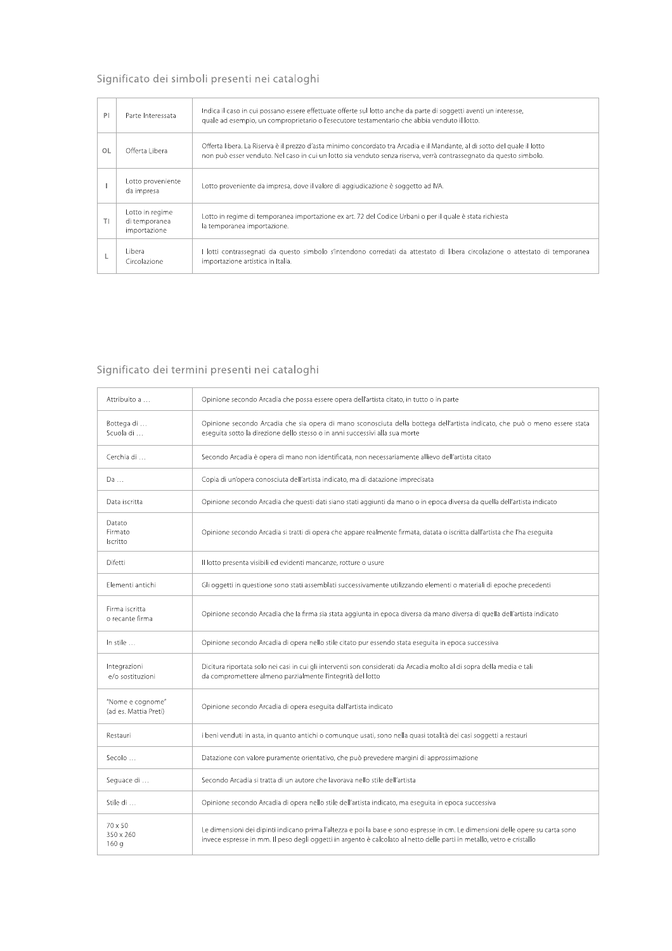# Significato dei simboli presenti nei cataloghi

| PI | Parte Interessata                                | Indica il caso in cui possano essere effettuate offerte sul lotto anche da parte di soggetti aventi un interesse,<br>guale ad esempio, un comproprietario o l'esecutore testamentario che abbia venduto il lotto.                               |
|----|--------------------------------------------------|-------------------------------------------------------------------------------------------------------------------------------------------------------------------------------------------------------------------------------------------------|
| OL | Offerta Libera                                   | Offerta libera. La Riserva è il prezzo d'asta minimo concordato tra Arcadia e il Mandante, al di sotto del quale il lotto<br>non può esser venduto. Nel caso in cui un lotto sia venduto senza riserva, verrà contrassegnato da questo simbolo. |
|    | Lotto proveniente<br>da impresa                  | Lotto proveniente da impresa, dove il valore di aggiudicazione è soggetto ad IVA.                                                                                                                                                               |
| TI | Lotto in regime<br>di temporanea<br>importazione | Lotto in regime di temporanea importazione ex art. 72 del Codice Urbani o per il quale è stata richiesta<br>la temporanea importazione.                                                                                                         |
|    | l ibera-<br>Circolazione                         | I lotti contrassegnati da questo simbolo s'intendono corredati da attestato di libera circolazione o attestato di temporanea<br>importazione artistica in Italia.                                                                               |

# Significato dei termini presenti nei cataloghi

| Attribuito a                              | Opinione secondo Arcadia che possa essere opera dell'artista citato, in tutto o in parte                                                                                                                                                                  |
|-------------------------------------------|-----------------------------------------------------------------------------------------------------------------------------------------------------------------------------------------------------------------------------------------------------------|
| Bottega di<br>Scuola di                   | Opinione secondo Arcadia che sia opera di mano sconosciuta della bottega dell'artista indicato, che può o meno essere stata<br>esequita sotto la direzione dello stesso o in anni successivi alla sua morte                                               |
| Cerchia di                                | Secondo Arcadia è opera di mano non identificata, non necessariamente allievo dell'artista citato                                                                                                                                                         |
| Da                                        | Copia di un'opera conosciuta dell'artista indicato, ma di datazione imprecisata                                                                                                                                                                           |
| Data iscritta                             | Opinione secondo Arcadia che questi dati siano stati aggiunti da mano o in epoca diversa da quella dell'artista indicato                                                                                                                                  |
| Datato<br>Firmato<br>Iscritto             | Opinione secondo Arcadia si tratti di opera che appare realmente firmata, datata o iscritta dall'artista che l'ha eseguita                                                                                                                                |
| Difetti                                   | Il lotto presenta visibili ed evidenti mancanze, rotture o usure                                                                                                                                                                                          |
| Elementi antichi                          | Gli oggetti in questione sono stati assemblati successivamente utilizzando elementi o materiali di epoche precedenti                                                                                                                                      |
| Firma iscritta<br>o recante firma         | Opinione secondo Arcadia che la firma sia stata aggiunta in epoca diversa da mano diversa di quella dell'artista indicato                                                                                                                                 |
| In stile                                  | Opinione secondo Arcadia di opera nello stile citato pur essendo stata eseguita in epoca successiva                                                                                                                                                       |
| Integrazioni<br>e/o sostituzioni          | Dicitura riportata solo nei casi in cui gli interventi son considerati da Arcadia molto al di sopra della media e tali<br>da compromettere almeno parzialmente l'integrità del lotto                                                                      |
| "Nome e cognome"<br>(ad es. Mattia Preti) | Opinione secondo Arcadia di opera eseguita dall'artista indicato                                                                                                                                                                                          |
| Restauri                                  | i beni venduti in asta, in quanto antichi o comunque usati, sono nella quasi totalità dei casi soggetti a restauri                                                                                                                                        |
| Secolo                                    | Datazione con valore puramente orientativo, che può prevedere margini di approssimazione                                                                                                                                                                  |
| Seguace di                                | Secondo Arcadia si tratta di un autore che lavorava nello stile dell'artista                                                                                                                                                                              |
| Stile di                                  | Opinione secondo Arcadia di opera nello stile dell'artista indicato, ma eseguita in epoca successiva                                                                                                                                                      |
| 70 x 50<br>350 x 260<br>160q              | Le dimensioni dei dipinti indicano prima l'altezza e poi la base e sono espresse in cm. Le dimensioni delle opere su carta sono<br>invece espresse in mm. Il peso degli oggetti in argento è calcolato al netto delle parti in metallo, vetro e cristallo |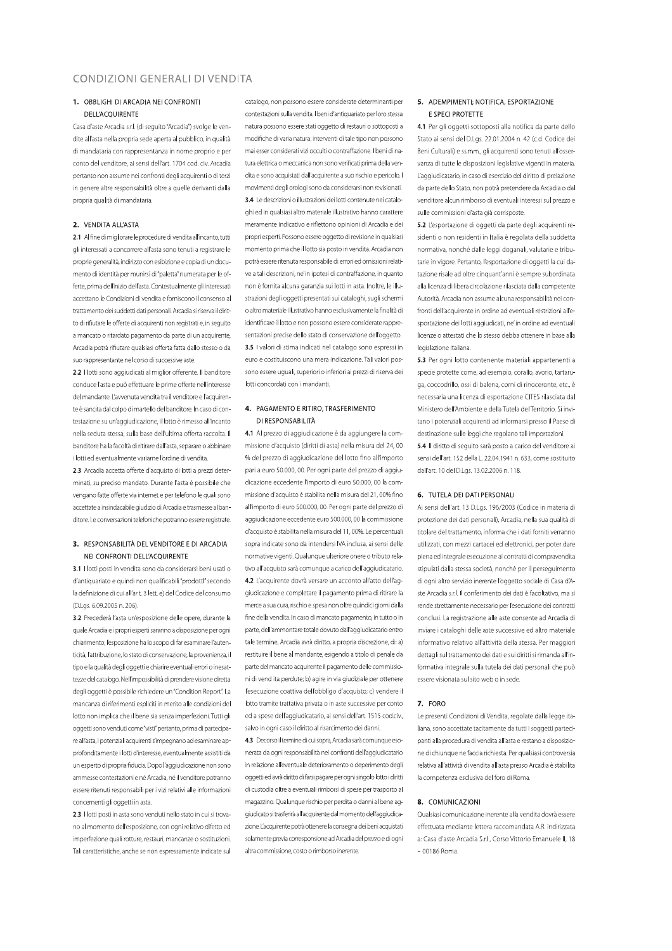# CONDIZIONI GENERALI DI VENDITA

### 1. OBBLIGHLDLARCADIA NELCONERONTI **DELL'ACOUIRENTE**

Casa d'aste Arcadia s.r.l. (di seguito "Arcadia") svolge le vendite all'asta nella propria sede aperta al pubblico, in qualità di mandataria con rappresentanza in nome proprio e per conto del venditore, ai sensi dell'art. 1704 cod. civ. Arcadia pertanto non assume nei confronti degli acquirenti o di terzi in genere altre responsabilità oltre a quelle derivanti dalla propria qualità di mandataria.

#### 2. VENDITA ALL'ASTA

2.1 Al fine di migliorare le procedure di vendita all'incanto, tutti gli interessati a concorrere all'asta sono tenuti a registrare le proprie generalità, indirizzo con esibizione e copia di un documento di identità per munirsi di "paletta" numerata per le offerte, prima dell'inizio dell'asta. Contestualmente gli interessati accettano le Condizioni di vendita e forniscono il consenso al trattamento dei suddetti dati personali. Arcadia si riserva il diritto di rifiutare le offerte di acquirenti non registrati e, in seguito a mancato o ritardato pagamento da parte di un acquirente, Arcadia potrà rifiutare qualsiasi offerta fatta dallo stesso o da suo rappresentante nel corso di successive aste

2.2 I lotti sono aggiudicati al miglior offerente. Il banditore conduce l'asta e può effettuare le prime offerte nell'interesse del mandante. L'avvenuta vendita tra il venditore e l'acquirente è sancita dal colpo di martello del banditore. In caso di contestazione su un'aggiudicazione, il lotto è rimesso all'incanto nella seduta stessa, sulla base dell'ultima offerta raccolta. Il banditore ha la facoltà di ritirare dall'asta, separare o abbinare i lotti ed eventualmente variarne l'ordine di vendita

2.3 Arcadia accetta offerte d'acquisto di lotti a prezzi determinati, su preciso mandato. Durante l'asta è possibile che vengano fatte offerte via internet e per telefono le quali sono accettate a insindacabile giudizio di Arcadia e trasmesse al banditore. Le conversazioni telefoniche potranno essere registrate.

## 3. RESPONSABILITÀ DEL VENDITORE E DI ARCADIA NELCONERONTI DELL'ACOUIRENTE

3.1 I lotti posti in vendita sono da considerarsi beni usati o d'antiquariato e quindi non qualificabili "prodottl" secondo la definizione di cui all'ar t. 3 lett. e) del Codice del consumo (D.I as, 6.09.2005 n. 206).

3.2 Precederà l'asta un'esposizione delle opere, durante la quale Arcadia e i propri esperti saranno a disposizione per ogni chiarimento; l'esposizione ha lo scopo di far esaminare l'autenticità, l'attribuzione, lo stato di conservazione, la provenienza, il tipo e la qualità degli oggetti e chiarire eventuali errori o inesattezze del catalogo. Nell'impossibilità di prendere visione diretta degli oggetti è possibile richiedere un "Condition Report". La mancanza di riferimenti espliciti in merito alle condizioni del lotto non implica che il bene sia senza imperfezioni. Tutti gli oggetti sono venduti come "visti" pertanto, prima di partecipare all'asta, i potenziali acquirenti s'impegnano ad esaminare approfonditamente i lotti d'interesse, eventualmente assistiti da un esperto di propria fiducia. Dono l'aggiudicazione non sono ammesse contestazioni e né Arcadia, né il venditore potranno essere ritenuti responsabili per i vizi relativi alle informazioni concernenti gli oggetti in asta.

2.3 I lotti posti in asta sono venduti nello stato in cui si trovano al momento dell'esposizione, con ogni relativo difetto ed imperfezione quali rotture, restauri, mancanze o sostituzioni. Tali caratteristiche, anche se non espressamente indicate sul

catalogo, non possono essere considerate determinanti per contestazioni sulla vendita. I beni d'antiquariato per loro stessa natura possono essere stati oggetto di restauri o sottoposti a modifiche di varia natura: interventi di tale tipo non possono mai esser considerati vizi occulti o contraffazione. I beni di natura elettrica o meccanica non sono verificati prima della vendita e sono acquistati dall'acquirente a suo rischio e pericolo. I movimenti degli orologi sono da considerarsi non revisionati. 3.4 Le descrizioni o illustrazioni dei lotti contenute nei cataloghi ed in qualsiasi altro materiale illustrativo hanno carattere meramente indicativo e riflettono opinioni di Arcadia e dei propri esperti. Possono essere oggetto di revisione in qualsiasi momento prima che il lotto sia posto in vendita. Arcadia non potrà essere ritenuta responsabile di errori ed omissioni relative a tali descrizioni, ne' in ipotesi di contraffazione, in quanto non è fornita alcuna garanzia sui lotti in asta, Inoltre, le illustrazioni degli oggetti presentati sui cataloghi, sugli schermi o altro materiale illustrativo hanno esclusivamente la finalità di identificare il lotto e non possono essere considerate rappresentazioni precise dello stato di conservazione dell'oggetto. 3.5 I valori di stima indicati nel catalogo sono espressi in euro e costituiscono una mera indicazione Tali valori possono essere uguali, superiori o inferiori ai prezzi di riserva dei lotti concordati con i mandanti.

## 4. PAGAMENTO E RITIRO; TRASFERIMENTO DI RESPONSABILITÀ

4.1 Al prezzo di aggiudicazione è da aggiungere la commissione d'acquisto (diritti di asta) nella misura del 24.00 % del prezzo di aggiudicazione del lotto fino all'importo pari a euro 50.000, 00. Per ogni parte del prezzo di aggiudicazione eccedente l'importo di euro 50.000, 00 la commissione d'acquisto è stabilita nella misura del 21.00% fino all'importo di euro 500.000, 00. Per ogni parte del prezzo di aggiudicazione eccedente euro 500.000, 00 la commissione d'acquisto è stabilita nella misura del 11.00%. Le percentuali sonra indicate sono da intendersi IVA inclusa ai sensi delle normative vigenti. Qualunque ulteriore onere o tributo relativo all'acquisto sarà comunque a carico dell'aggiudicatario. 4.2 L'acquirente dovrà versare un acconto all'atto dell'aqgiudicazione e completare il pagamento prima di ritirare la merce a sua cura, rischio e spesa non oltre quindici giorni dalla fine della vendita. In caso di mancato pagamento, in tutto o in parte, dell'ammontare totale dovuto dall'aggiudicatario entro tale termine. Arcadia avrà diritto, a propria discrezione, di: a) restituire il bene al mandante esigendo a titolo di penale da parte del mancato acquirente il pagamento delle commissioni di vend ita perdute; b) agire in via giudiziale per ottenere l'esecuzione coattiva dell'obbligo d'acquisto: c) vendere il lotto tramite trattativa privata o in aste successive per conto ed a spese dell'aggiudicatario, ai sensi dell'art. 1515 cod.civ., salvo in ogni caso il diritto al risarcimento dei danni.

4.3 Decorso il termine di cui sopra. Arcadia sarà comunque esonerata da ogni responsabilità nei confronti dell'aggiudicatario in relazione all'eventuale deterioramento o deperimento degli oggetti ed avrà diritto di farsi pagare per ogni singolo lotto i diritti di custodia oltre a eventuali rimborsi di spese per trasporto al magazzino. Qualunque rischio per perdita o danni al bene aggiudicato si trasferirà all'acquirente dal momento dell'aggiudicazione. L'acquirente potrà ottenere la consegna dei beni acquistati solamente previa corresponsione ad Arcadia del prezzo e di ogni altra commissione costo o rimborso inerente

# 5. ADEMPIMENTI; NOTIFICA, ESPORTAZIONE E SPECI PROTETTE

4.1 Per gli oggetti sottoposti alla notifica da parte dello Stato ai sensi del D.Lgs. 22.01.2004 n. 42 (c.d. Codice dei Beni Culturali) e ss.mm., gli acquirenti sono tenuti all'osservanza di tutte le disposizioni legislative vigenti in materia. l'aggiudicatario, in caso di esercizio del diritto di prelazione da parte dello Stato, non potrà pretendere da Arcadia o dal venditore alcun rimborso di eventuali interessi sul prezzo e sulle commissioni d'asta già corrisposte.

5.2 L'esportazione di oggetti da parte degli acquirenti residenti o non residenti in Italia è regolata della suddetta normativa, nonché dalle leggi doganali, valutarie e tributarie in vigore. Pertanto, l'esportazione di oggetti la cui datazione risale ad oltre cinquant'anni è sempre subordinata alla licenza di libera circolazione rilasciata dalla competente Autorità. Arcadia non assume alcuna responsabilità nei confronti dell'acquirente in ordine ad eventuali restrizioni all'esportazione dei lotti aggiudicati, ne' in ordine ad eventuali licenze o attestati che lo stesso debba ottenere in base alla legislazione italiana.

5.3 Per ogni lotto contenente materiali appartenenti a specie protette come, ad esempio, corallo, avorio, tartaruga, coccodrillo, ossi di balena, corni di rinoceronte, etc., è necessaria una licenza di esportazione CITES rilasciata dal Ministero dell'Ambiente e della Tutela del Territorio. Si invitano i potenziali acquirenti ad informarsi presso il Paese di destinazione sulle leggi che regolano tali importazioni.

5.4 Il diritto di seguito sarà posto a carico del venditore ai sensi dell'art. 152 della L. 22.04.1941 n. 633. come sostituito dall'art 10 del DI os 13.02.2006 n. 118

#### 6. TUTFLA DELDATI PERSONALI

Ai sensi dell'art. 13 D.I as. 196/2003 (Codice in materia di protezione dei dati personali), Arcadia, nella sua qualità di titolare del trattamento, informa che i dati forniti verranno utilizzati, con mezzi cartacei ed elettronici, per poter dare piena ed integrale esecuzione ai contratti di compravendita stipulati dalla stessa società, nonchè per il perseguimento di ogni altro servizio inerente l'oggetto sociale di Casa d'Aste Arcadia s.r.l. Il conferimento dei dati è facoltativo, ma si rende strettamente necessario per l'esecuzione dei contratti conclusi. La registrazione alle aste consente ad Arcadia di inviare i cataloghi delle aste successive ed altro materiale informativo relativo all'attività della stessa. Per maggiori dettagli sul trattamento dei dati e sui diritti si rimanda all'informativa integrale sulla tutela dei dati personali che può essere visionata sul sito web o in sede.

#### 7. FORO

Le presenti Condizioni di Vendita, regolate dalla legge italiana, sono accettate tacitamente da tutti i soggetti partecipanti alla procedura di vendita all'asta e restano a disposizione di chiungue ne faccia richiesta. Per qualsiasi controversia relativa all'attività di vendita all'asta presso Arcadia è stabilita la competenza esclusiva del foro di Roma.

# 8. COMUNICAZIONI

Qualsiasi comunicazione inerente alla vendita dovrà essere effettuata mediante lettera raccomandata A.R. indirizzata a: Casa d'aste Arcadia S.r.l., Corso Vittorio Emanuele II, 18  $-00186$  Roma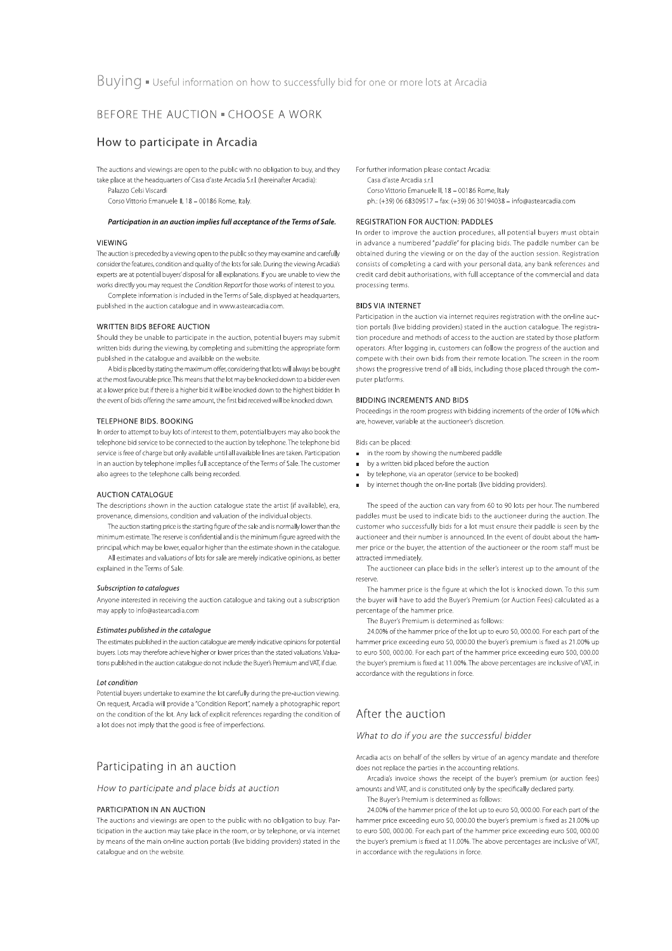# BEFORE THE AUCTION . CHOOSE A WORK

# How to participate in Arcadia

The auctions and viewings are open to the public with no obligation to buy, and they take place at the headquarters of Casa d'aste Arcadia S.r.l. (hereinafter Arcadia):

Palazzo Celsi Viscardi

Corso Vittorio Emanuele II, 18 - 00186 Rome, Italy

#### Participation in an auction implies full acceptance of the Terms of Sale.

#### VIFWING

The auction is preceded by a viewing open to the public so they may examine and carefully consider the features, condition and quality of the lots for sale. During the viewing Arcadia's experts are at potential buyers' disposal for all explanations. If you are unable to view the works directly you may request the Condition Report for those works of interest to you.

Complete information is included in the Terms of Sale, displayed at headquarters, published in the auction catalogue and in www.astearcadia.com.

### WRITTEN BIDS BEFORE AUCTION

Should they be unable to participate in the auction, potential buyers may submit written bids during the viewing, by completing and submitting the appropriate form published in the catalogue and available on the website.

A bid is placed by stating the maximum offer, considering that lots will always be bought at the most favourable price. This means that the lot may be knocked down to a bidder even at a lower price but if there is a higher bid it will be knocked down to the highest bidder. In the event of bids offering the same amount, the first bid received will be knocked down.

#### TELEPHONE BIDS. BOOKING

In order to attempt to buy lots of interest to them, potential buyers may also book the telephone bid service to be connected to the auction by telephone. The telephone bid service is free of charge but only available until all available lines are taken. Participation in an auction by telephone implies full acceptance of the Terms of Sale. The customer also agrees to the telephone calls being recorded.

#### **AUCTION CATALOGUE**

The descriptions shown in the auction catalogue state the artist (if available), era. provenance, dimensions, condition and valuation of the individual objects.

The auction starting price is the starting figure of the sale and is normally lower than the minimum estimate. The reserve is confidential and is the minimum figure agreed with the principal, which may be lower, equal or higher than the estimate shown in the catalogue. All estimates and valuations of lots for sale are merely indicative opinions, as better explained in the Terms of Sale.

#### Subscription to catalogues

Anyone interested in receiving the auction catalogue and taking out a subscription may apply to info@astearcadia.com

#### Estimates published in the catalogue

The estimates published in the auction catalogue are merely indicative opinions for potential buyers. Lots may therefore achieve higher or lower prices than the stated valuations. Valuations published in the auction catalogue do not include the Buyer's Premium and VAT, if due.

#### Lot condition

Potential buyers undertake to examine the lot carefully during the pre-auction viewing. On request, Arcadia will provide a "Condition Report", namely a photographic report on the condition of the lot. Any lack of explicit references regarding the condition of a lot does not imply that the good is free of imperfections.

# Participating in an auction

How to participate and place bids at auction

### PARTICIPATION IN AN AUCTION

The auctions and viewings are open to the public with no obligation to buy. Participation in the auction may take place in the room, or by telephone, or via internet by means of the main on-line auction portals (live bidding providers) stated in the catalogue and on the website.

For further information please contact Arcadia: Casa d'aste Arcadia s.r.l. Corso Vittorio Emanuele II, 18 - 00186 Rome, Italy ph: (+39) 06 68309517 - fax: (+39) 06 30194038 - info@astearcadia.com

### **REGISTRATION FOR AUCTION: PADDLES**

In order to improve the auction procedures, all potential buyers must obtain in advance a numbered "paddle" for placing bids. The paddle number can be obtained during the viewing or on the day of the auction session. Registration consists of completing a card with your personal data, any bank references and credit card debit authorisations, with full acceptance of the commercial and data processing terms.

### **BIDS VIA INTERNET**

Participation in the auction via internet requires registration with the on-line auction portals (live bidding providers) stated in the auction catalogue. The registration procedure and methods of access to the auction are stated by those platform operators. After logging in, customers can follow the progress of the auction and compete with their own bids from their remote location. The screen in the room shows the progressive trend of all bids, including those placed through the computer platforms.

#### **BIDDING INCREMENTS AND BIDS**

Proceedings in the room progress with bidding increments of the order of 10% which are, however, variable at the auctioneer's discretion.

Bids can be placed:

- in the room by showing the numbered paddle
- by a written bid placed before the auction
- by telephone, via an operator (service to be booked)
- by internet though the on-line portals (live bidding providers).

The speed of the auction can vary from 60 to 90 lots per hour. The numbered paddles must be used to indicate bids to the auctioneer during the auction. The customer who successfully bids for a lot must ensure their paddle is seen by the auctioneer and their number is announced. In the event of doubt about the hammer price or the buyer, the attention of the auctioneer or the room staff must be attracted immediately.

The auctioneer can place bids in the seller's interest up to the amount of the reserve

The hammer price is the figure at which the lot is knocked down. To this sum the buyer will have to add the Buyer's Premium (or Auction Fees) calculated as a percentage of the hammer price.

The Buyer's Premium is determined as follows:

24.00% of the hammer price of the lot up to euro 50, 000.00. For each part of the hammer price exceeding euro 50, 000.00 the buyer's premium is fixed as 21.00% up to euro 500, 000.00. For each part of the hammer price exceeding euro 500, 000.00 the buyer's premium is fixed at 11.00%. The above percentages are inclusive of VAT, in accordance with the regulations in force.

# After the auction

## What to do if you are the successful bidder

Arcadia acts on behalf of the sellers by virtue of an agency mandate and therefore does not replace the parties in the accounting relations.

Arcadia's invoice shows the receipt of the buyer's premium (or auction fees) amounts and VAT, and is constituted only by the specifically declared party.

The Buver's Premium is determined as follows: 24.00% of the hammer price of the lot up to euro 50, 000.00. For each part of the

hammer price exceeding euro 50, 000.00 the buyer's premium is fixed as 21.00% up to euro 500, 000.00. For each part of the hammer price exceeding euro 500, 000.00 the buver's premium is fixed at 11.00%. The above percentages are inclusive of VAT, in accordance with the regulations in force.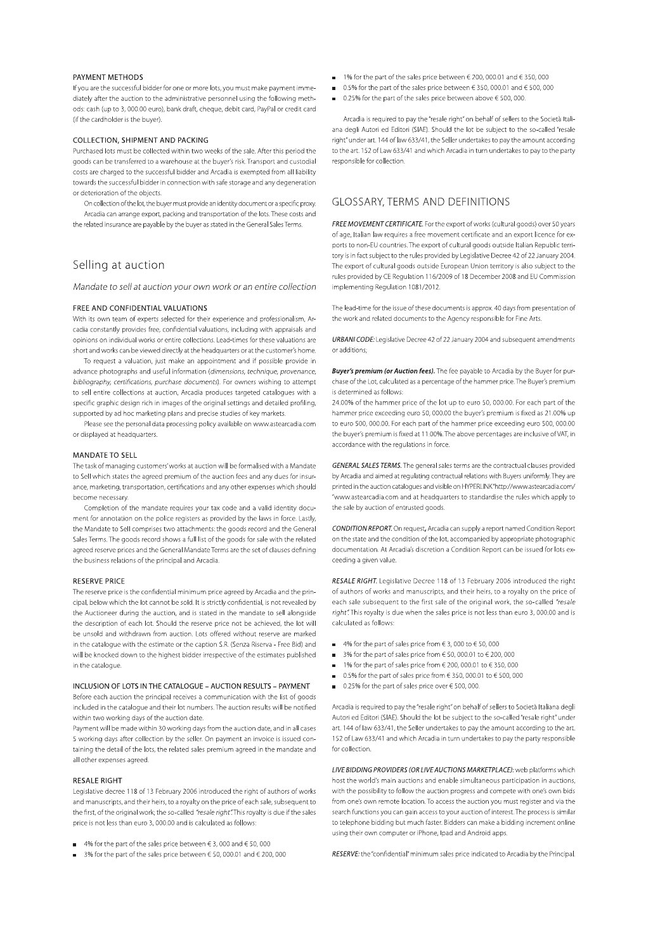#### PAYMENT METHODS

If you are the successful bidder for one or more lots, you must make payment immediately after the auction to the administrative personnel using the following methods: cash (up to 3, 000.00 euro), bank draft, cheque, debit card, PayPal or credit card (if the cardholder is the buyer).

#### COLLECTION, SHIPMENT AND PACKING

Purchased lots must be collected within two weeks of the sale. After this period the goods can be transferred to a warehouse at the buyer's risk. Transport and custodial costs are charged to the successful bidder and Arcadia is exempted from all liability towards the successful bidder in connection with safe storage and any degeneration or deterioration of the objects.

On collection of the lot, the buyer must provide an identity document or a specific proxy. Arcadia can arrange export, packing and transportation of the lots. These costs and the related insurance are payable by the buyer as stated in the General Sales Terms.

# Selling at auction

Mandate to sell at auction your own work or an entire collection

#### FREE AND CONFIDENTIAL VALUATIONS

With its own team of experts selected for their experience and professionalism. Arcadia constantly provides free, confidential valuations, including with appraisals and opinions on individual works or entire collections. Lead-times for these valuations are short and works can be viewed directly at the headquarters or at the customer's home.

To request a valuation, just make an appointment and if possible provide in advance photographs and useful information (dimensions, technique, provenance, bibliography, certifications, purchase documents). For owners wishing to attempt to sell entire collections at auction, Arcadia produces targeted catalogues with a specific graphic design rich in images of the original settings and detailed profiling, supported by ad hoc marketing plans and precise studies of key markets.

Please see the personal data processing policy available on www.astearcadia.com or displayed at headquarters.

#### **MANDATE TO SELL**

The task of managing customers' works at auction will be formalised with a Mandate to Sell which states the agreed premium of the auction fees and any dues for insurance, marketing, transportation, certifications and any other expenses which should become necessary.

Completion of the mandate requires your tax code and a valid identity document for annotation on the police registers as provided by the laws in force. Lastly, the Mandate to Sell comprises two attachments: the goods record and the General Sales Terms. The goods record shows a full list of the goods for sale with the related agreed reserve prices and the General Mandate Terms are the set of clauses defining the business relations of the principal and Arcadia.

#### **RESERVE PRICE**

The reserve price is the confidential minimum price agreed by Arcadia and the principal, below which the lot cannot be sold. It is strictly confidential, is not revealed by the Auctioneer during the auction, and is stated in the mandate to sell alongside the description of each lot. Should the reserve price not be achieved, the lot will be unsold and withdrawn from auction. Lots offered without reserve are marked in the catalogue with the estimate or the caption S.R. (Senza Riserva - Free Bid) and will be knocked down to the highest bidder irrespective of the estimates published in the catalogue

# INCLUSION OF LOTS IN THE CATALOGUE - AUCTION RESULTS - PAYMENT

Before each auction the principal receives a communication with the list of goods included in the catalogue and their lot numbers. The auction results will be notified within two working days of the auction date.

Payment will be made within 30 working days from the auction date, and in all cases 5 working days after collection by the seller. On payment an invoice is issued containing the detail of the lots, the related sales premium agreed in the mandate and all other expenses agreed.

### **RESALE RIGHT**

Legislative decree 118 of 13 February 2006 introduced the right of authors of works and manuscripts, and their heirs, to a royalty on the price of each sale, subsequent to the first, of the original work: the so-called "resale right". This royalty is due if the sales price is not less than euro 3, 000.00 and is calculated as follows:

- 4% for the part of the sales price between  $\in$  3, 000 and  $\in$  50, 000
- 3% for the part of the sales price between € 50, 000.01 and € 200, 000
- $\blacksquare$  1% for the part of the sales price between  $\in$  200, 000.01 and  $\in$  350, 000
- $\Box$  0.5% for the part of the sales price between  $\in$  350, 000.01 and  $\in$  500, 000.
- 0.25% for the part of the sales price between above € 500, 000.

Arcadia is required to pay the "resale right" on behalf of sellers to the Società Italiana degli Autori ed Editori (SIAE). Should the lot be subject to the so-called "resale right" under art. 144 of law 633/41, the Seller undertakes to pay the amount according to the art. 152 of Law 633/41 and which Arcadia in turn undertakes to pay to the party responsible for collection.

# **GLOSSARY, TERMS AND DEFINITIONS**

FREE MOVEMENT CERTIFICATE. For the export of works (cultural goods) over 50 years of age. Italian law requires a free movement certificate and an export licence for exports to non-EU countries. The export of cultural goods outside Italian Republic territory is in fact subject to the rules provided by Legislative Decree 42 of 22 January 2004. The export of cultural goods outside European Union territory is also subject to the rules provided by CE Regulation 116/2009 of 18 December 2008 and EU Commission implementing Regulation 1081/2012.

The lead-time for the issue of these documents is approx. 40 days from presentation of the work and related documents to the Agency responsible for Fine Arts.

URBANI CODE: Legislative Decree 42 of 22 January 2004 and subsequent amendments or additions:

Buyer's premium (or Auction fees). The fee payable to Arcadia by the Buyer for purchase of the Lot, calculated as a percentage of the hammer price. The Buver's premium is determined as follows:

24.00% of the hammer price of the lot up to euro 50, 000.00. For each part of the hammer price exceeding euro 50, 000.00 the buver's premium is fixed as 21,00% up to euro 500, 000.00. For each part of the hammer price exceeding euro 500, 000.00 the buyer's premium is fixed at 11.00%. The above percentages are inclusive of VAT, in accordance with the regulations in force.

GENERAL SALES TERMS. The general sales terms are the contractual clauses provided by Arcadia and aimed at regulating contractual relations with Buyers uniformly. They are printed in the auction catalogues and visible on HYPERLINK"http://www.astearcadia.com/ "www.astearcadia.com and at headquarters to standardise the rules which apply to the sale by auction of entrusted goods.

**CONDITION REPORT.** On request, Arcadia can supply a report named Condition Report on the state and the condition of the lot, accompanied by appropriate photographic documentation. At Arcadia's discretion a Condition Report can be issued for lots exceeding a given value.

RESALE RIGHT. Legislative Decree 118 of 13 February 2006 introduced the right of authors of works and manuscripts, and their heirs, to a royalty on the price of each sale subsequent to the first sale of the original work, the so-called "resale right". This royalty is due when the sales price is not less than euro 3, 000.00 and is calculated as follows:

- $4\%$  for the part of sales price from  $63,000$  to  $650,000$
- 3% for the part of sales price from  $650.000.01$  to  $6200.000$
- 1% for the part of sales price from € 200, 000.01 to € 350, 000
- $\Box$  0.5% for the part of sales price from  $\in$  350, 000.01 to  $\in$  500, 000
- $\Box$  0.25% for the part of sales price over  $\in$  500, 000.

Arcadia is required to pay the "resale right" on behalf of sellers to Società Italiana degli Autori ed Editori (SIAE). Should the lot be subject to the so-called "resale right" under art. 144 of law 633/41, the Seller undertakes to pay the amount according to the art. 152 of Law 633/41 and which Arcadia in turn undertakes to pay the party responsible for collection.

LIVE BIDDING PROVIDERS (OR LIVE AUCTIONS MARKETPLACE): web platforms which host the world's main auctions and enable simultaneous participation in auctions. with the possibility to follow the auction progress and compete with one's own bids from one's own remote location. To access the auction you must register and via the search functions you can gain access to your auction of interest. The process is similar to telephone bidding but much faster. Bidders can make a bidding increment online using their own computer or iPhone, Ipad and Android apps.

RESERVE: the "confidential" minimum sales price indicated to Arcadia by the Principal.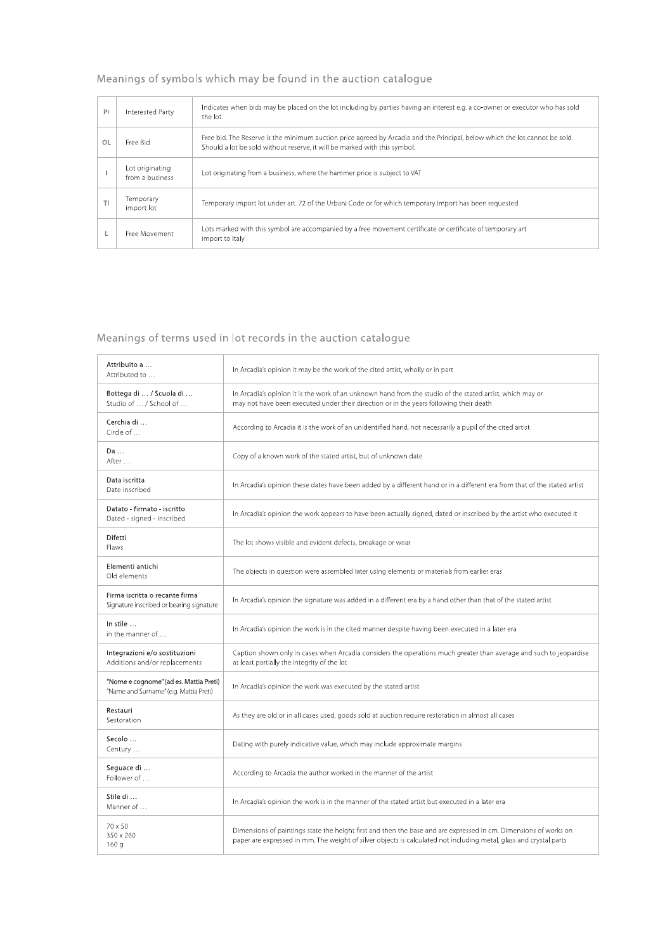# Meanings of symbols which may be found in the auction catalogue

| PI             | Interested Party                   | Indicates when bids may be placed on the lot including by parties having an interest e.g. a co-owner or executor who has sold<br>the lot.                                                                |
|----------------|------------------------------------|----------------------------------------------------------------------------------------------------------------------------------------------------------------------------------------------------------|
| O <sub>L</sub> | Free Bid                           | Free bid. The Reserve is the minimum auction price agreed by Arcadia and the Principal, below which the lot cannot be sold.<br>Should a lot be sold without reserve, it will be marked with this symbol. |
|                | Lot originating<br>from a business | Lot originating from a business, where the hammer price is subject to VAT                                                                                                                                |
|                | Temporary<br>import lot            | Temporary import lot under art. 72 of the Urbani Code or for which temporary import has been requested                                                                                                   |
|                | Free Movement                      | Lots marked with this symbol are accompanied by a free movement certificate or certificate of temporary art<br>import to Italy                                                                           |

# Meanings of terms used in lot records in the auction catalogue

| Attribuito a<br>Attributed to                                                    | In Arcadia's opinion it may be the work of the cited artist, wholly or in part                                                                                                                                                         |
|----------------------------------------------------------------------------------|----------------------------------------------------------------------------------------------------------------------------------------------------------------------------------------------------------------------------------------|
| Bottega di  / Scuola di<br>Studio of  / School of                                | In Arcadia's opinion it is the work of an unknown hand from the studio of the stated artist, which may or<br>may not have been executed under their direction or in the years following their death                                    |
| Cerchia di<br>Circle of                                                          | According to Arcadia it is the work of an unidentified hand, not necessarily a pupil of the cited artist                                                                                                                               |
| Da<br>After                                                                      | Copy of a known work of the stated artist, but of unknown date                                                                                                                                                                         |
| Data iscritta<br>Date inscribed                                                  | In Arcadia's opinion these dates have been added by a different hand or in a different era from that of the stated artist                                                                                                              |
| Datato - firmato - iscritto<br>Dated - signed - inscribed                        | In Arcadia's opinion the work appears to have been actually signed, dated or inscribed by the artist who executed it                                                                                                                   |
| Difetti<br>Flaws                                                                 | The lot shows visible and evident defects, breakage or wear                                                                                                                                                                            |
| Elementi antichi<br>Old elements                                                 | The objects in question were assembled later using elements or materials from earlier eras                                                                                                                                             |
| Firma iscritta o recante firma<br>Signature inscribed or bearing signature       | In Arcadia's opinion the signature was added in a different era by a hand other than that of the stated artist                                                                                                                         |
| In stile<br>in the manner of                                                     | In Arcadia's opinion the work is in the cited manner despite having been executed in a later era                                                                                                                                       |
| Integrazioni e/o sostituzioni<br>Additions and/or replacements                   | Caption shown only in cases when Arcadia considers the operations much greater than average and such to jeopardise<br>at least partially the integrity of the lot                                                                      |
| "Nome e cognome" (ad es. Mattia Preti)<br>"Name and Surname" (e.g. Mattia Preti) | In Arcadia's opinion the work was executed by the stated artist                                                                                                                                                                        |
| Restauri<br>Sestoration                                                          | As they are old or in all cases used, goods sold at auction require restoration in almost all cases                                                                                                                                    |
| Secolo<br>Century                                                                | Dating with purely indicative value, which may include approximate margins                                                                                                                                                             |
| Seguace di<br>Follower of                                                        | According to Arcadia the author worked in the manner of the artist                                                                                                                                                                     |
| Stile di<br>Manner of                                                            | In Arcadia's opinion the work is in the manner of the stated artist but executed in a later era                                                                                                                                        |
| 70 x 50<br>350 x 260<br>160q                                                     | Dimensions of paintings state the height first and then the base and are expressed in cm. Dimensions of works on<br>paper are expressed in mm. The weight of silver objects is calculated not including metal, glass and crystal parts |